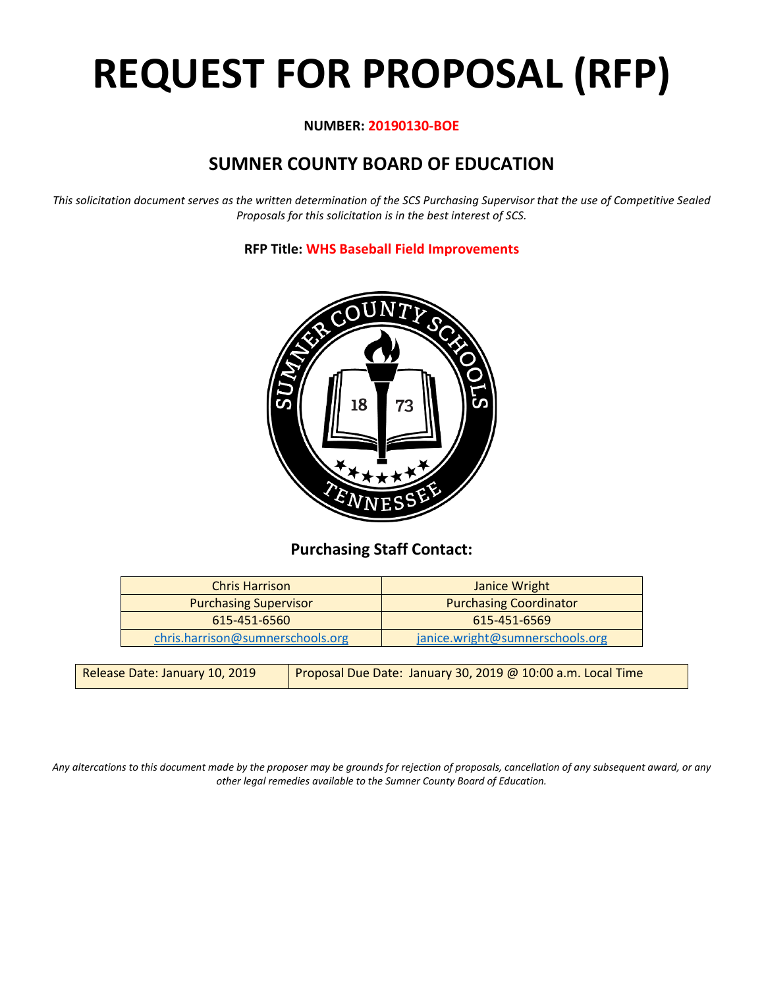# **REQUEST FOR PROPOSAL (RFP)**

#### **NUMBER: 20190130-BOE**

# **SUMNER COUNTY BOARD OF EDUCATION**

*This solicitation document serves as the written determination of the SCS Purchasing Supervisor that the use of Competitive Sealed Proposals for this solicitation is in the best interest of SCS.*

**RFP Title: WHS Baseball Field Improvements**



## **Purchasing Staff Contact:**

| <b>Chris Harrison</b>            | Janice Wright                   |
|----------------------------------|---------------------------------|
| <b>Purchasing Supervisor</b>     | <b>Purchasing Coordinator</b>   |
| 615-451-6560                     | 615-451-6569                    |
| chris.harrison@sumnerschools.org | janice.wright@sumnerschools.org |

| Release Date: January 10, 2019 | Proposal Due Date: January 30, 2019 @ 10:00 a.m. Local Time |
|--------------------------------|-------------------------------------------------------------|
|--------------------------------|-------------------------------------------------------------|

*Any altercations to this document made by the proposer may be grounds for rejection of proposals, cancellation of any subsequent award, or any other legal remedies available to the Sumner County Board of Education.*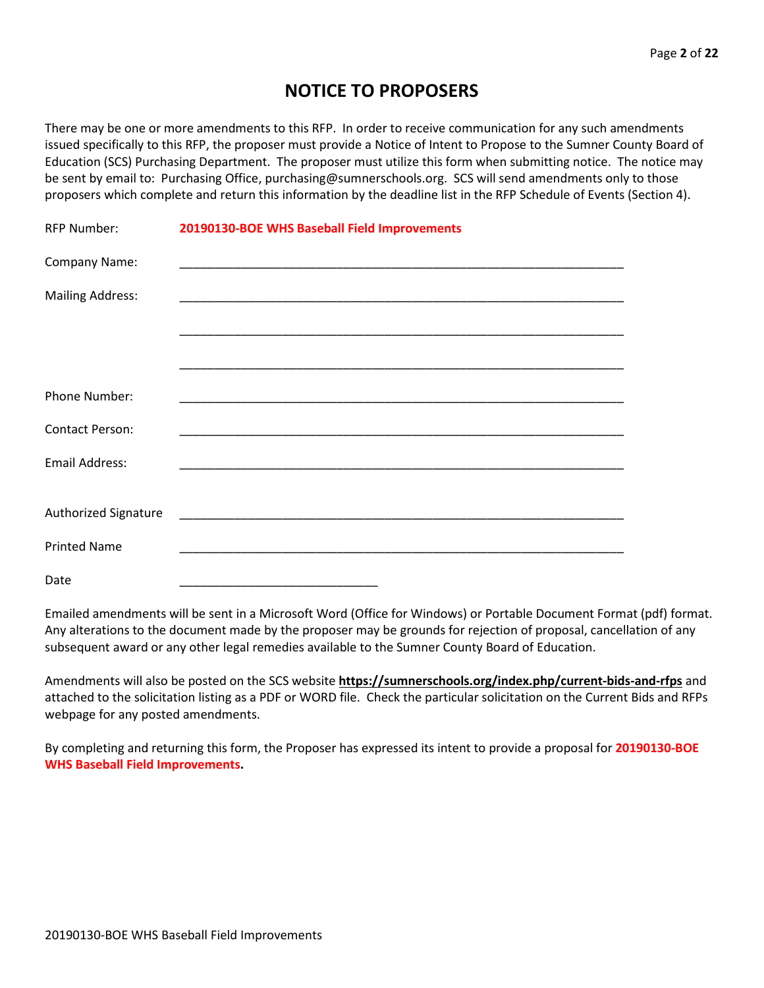## **NOTICE TO PROPOSERS**

There may be one or more amendments to this RFP. In order to receive communication for any such amendments issued specifically to this RFP, the proposer must provide a Notice of Intent to Propose to the Sumner County Board of Education (SCS) Purchasing Department. The proposer must utilize this form when submitting notice. The notice may be sent by email to: Purchasing Office, purchasing@sumnerschools.org. SCS will send amendments only to those proposers which complete and return this information by the deadline list in the RFP Schedule of Events (Section 4).

| <b>RFP Number:</b>      | 20190130-BOE WHS Baseball Field Improvements                                                                        |
|-------------------------|---------------------------------------------------------------------------------------------------------------------|
| Company Name:           | <u> 1989 - 1989 - 1989 - 1989 - 1989 - 1989 - 1989 - 1989 - 1989 - 1989 - 1989 - 1989 - 1989 - 1989 - 1989 - 19</u> |
| <b>Mailing Address:</b> |                                                                                                                     |
|                         |                                                                                                                     |
|                         |                                                                                                                     |
| Phone Number:           |                                                                                                                     |
| <b>Contact Person:</b>  |                                                                                                                     |
| <b>Email Address:</b>   |                                                                                                                     |
|                         |                                                                                                                     |
| Authorized Signature    |                                                                                                                     |
| <b>Printed Name</b>     | <u> 1980 - Johann John Stoff, deutscher Stoffen und der Stoffen und der Stoffen und der Stoffen und der Stoffen</u> |
| Date                    |                                                                                                                     |

Emailed amendments will be sent in a Microsoft Word (Office for Windows) or Portable Document Format (pdf) format. Any alterations to the document made by the proposer may be grounds for rejection of proposal, cancellation of any subsequent award or any other legal remedies available to the Sumner County Board of Education.

Amendments will also be posted on the SCS website **https://sumnerschools.org/index.php/current-bids-and-rfps** and attached to the solicitation listing as a PDF or WORD file. Check the particular solicitation on the Current Bids and RFPs webpage for any posted amendments.

By completing and returning this form, the Proposer has expressed its intent to provide a proposal for **20190130-BOE WHS Baseball Field Improvements.**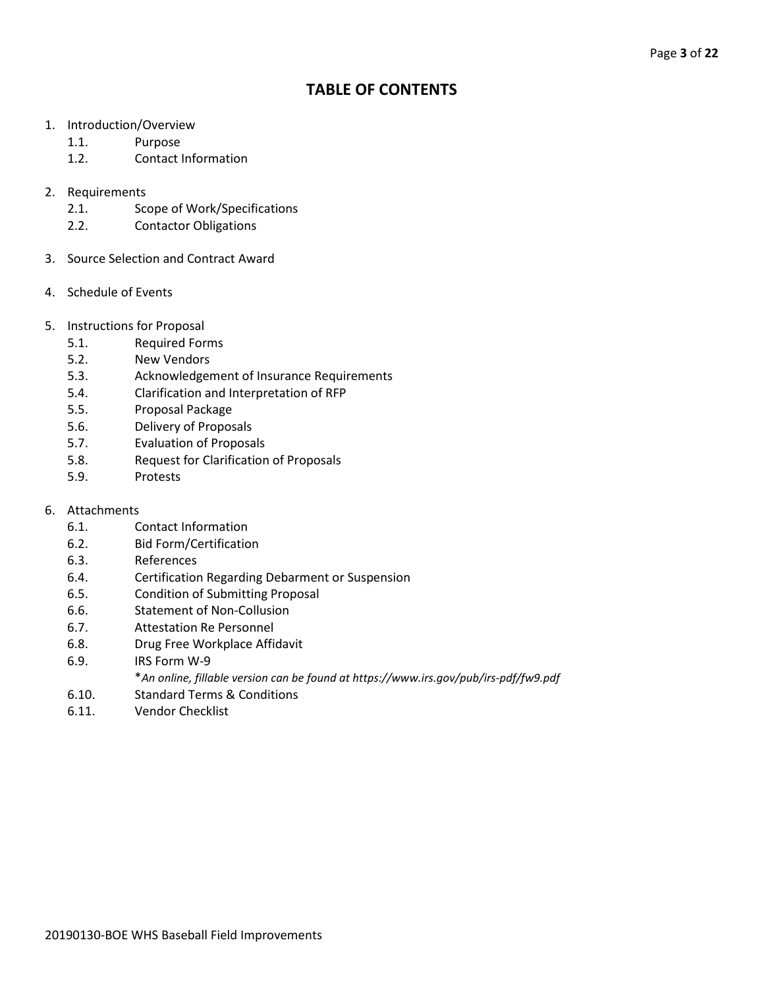## **TABLE OF CONTENTS**

- 1. Introduction/Overview
	- 1.1. Purpose
	- 1.2. Contact Information
- 2. Requirements
	- 2.1. Scope of Work/Specifications
	- 2.2. Contactor Obligations
- 3. Source Selection and Contract Award
- 4. Schedule of Events
- 5. Instructions for Proposal
	- 5.1. Required Forms
	- 5.2. New Vendors
	- 5.3. Acknowledgement of Insurance Requirements
	- 5.4. Clarification and Interpretation of RFP
	- 5.5. Proposal Package
	- 5.6. Delivery of Proposals
	- 5.7. Evaluation of Proposals
	- 5.8. Request for Clarification of Proposals
	- 5.9. Protests
- 6. Attachments
	- 6.1. Contact Information
	- 6.2. Bid Form/Certification
	- 6.3. References
	- 6.4. Certification Regarding Debarment or Suspension
	- 6.5. Condition of Submitting Proposal
	- 6.6. Statement of Non-Collusion
	- 6.7. Attestation Re Personnel
	- 6.8. Drug Free Workplace Affidavit
	- 6.9. IRS Form W-9
		- \**An online, fillable version can be found at https://www.irs.gov/pub/irs-pdf/fw9.pdf*
	- 6.10. Standard Terms & Conditions
	- 6.11. Vendor Checklist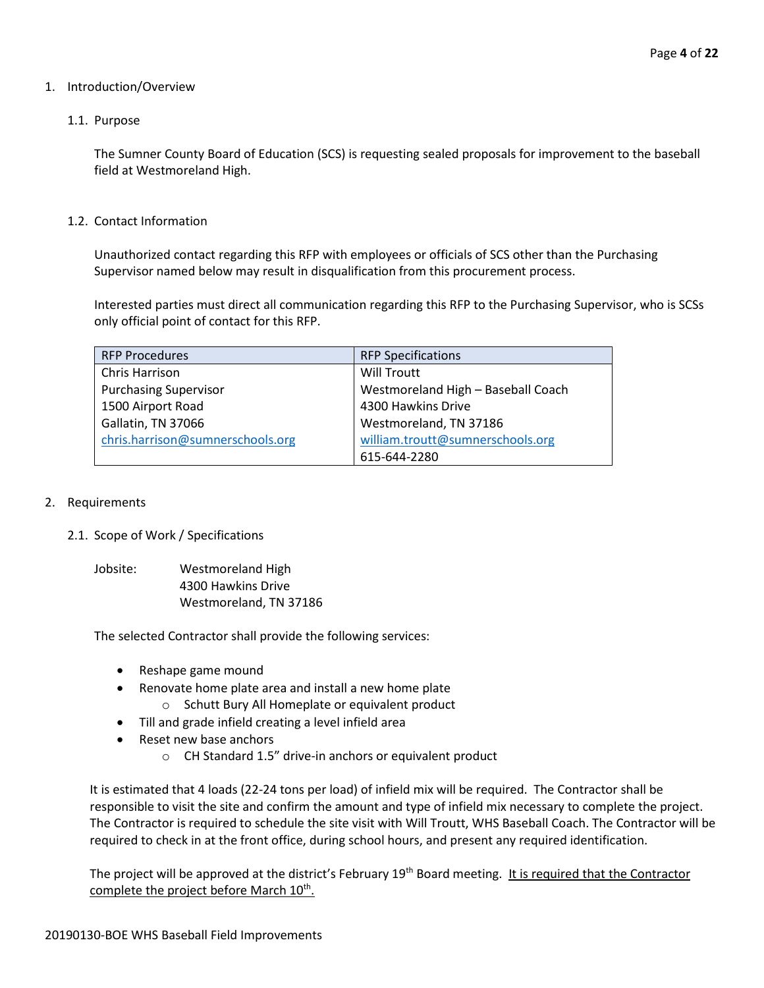#### 1. Introduction/Overview

#### 1.1. Purpose

The Sumner County Board of Education (SCS) is requesting sealed proposals for improvement to the baseball field at Westmoreland High.

1.2. Contact Information

Unauthorized contact regarding this RFP with employees or officials of SCS other than the Purchasing Supervisor named below may result in disqualification from this procurement process.

Interested parties must direct all communication regarding this RFP to the Purchasing Supervisor, who is SCSs only official point of contact for this RFP.

| <b>RFP Procedures</b>            | <b>RFP Specifications</b>          |
|----------------------------------|------------------------------------|
| Chris Harrison                   | Will Troutt                        |
| <b>Purchasing Supervisor</b>     | Westmoreland High - Baseball Coach |
| 1500 Airport Road                | 4300 Hawkins Drive                 |
| Gallatin, TN 37066               | Westmoreland, TN 37186             |
| chris.harrison@sumnerschools.org | william.troutt@sumnerschools.org   |
|                                  | 615-644-2280                       |

#### 2. Requirements

#### 2.1. Scope of Work / Specifications

Jobsite: Westmoreland High 4300 Hawkins Drive Westmoreland, TN 37186

The selected Contractor shall provide the following services:

- Reshape game mound
- Renovate home plate area and install a new home plate
	- o Schutt Bury All Homeplate or equivalent product
- Till and grade infield creating a level infield area
- Reset new base anchors
	- o CH Standard 1.5" drive-in anchors or equivalent product

It is estimated that 4 loads (22-24 tons per load) of infield mix will be required. The Contractor shall be responsible to visit the site and confirm the amount and type of infield mix necessary to complete the project. The Contractor is required to schedule the site visit with Will Troutt, WHS Baseball Coach. The Contractor will be required to check in at the front office, during school hours, and present any required identification.

The project will be approved at the district's February 19<sup>th</sup> Board meeting. It is required that the Contractor complete the project before March  $10^{th}$ .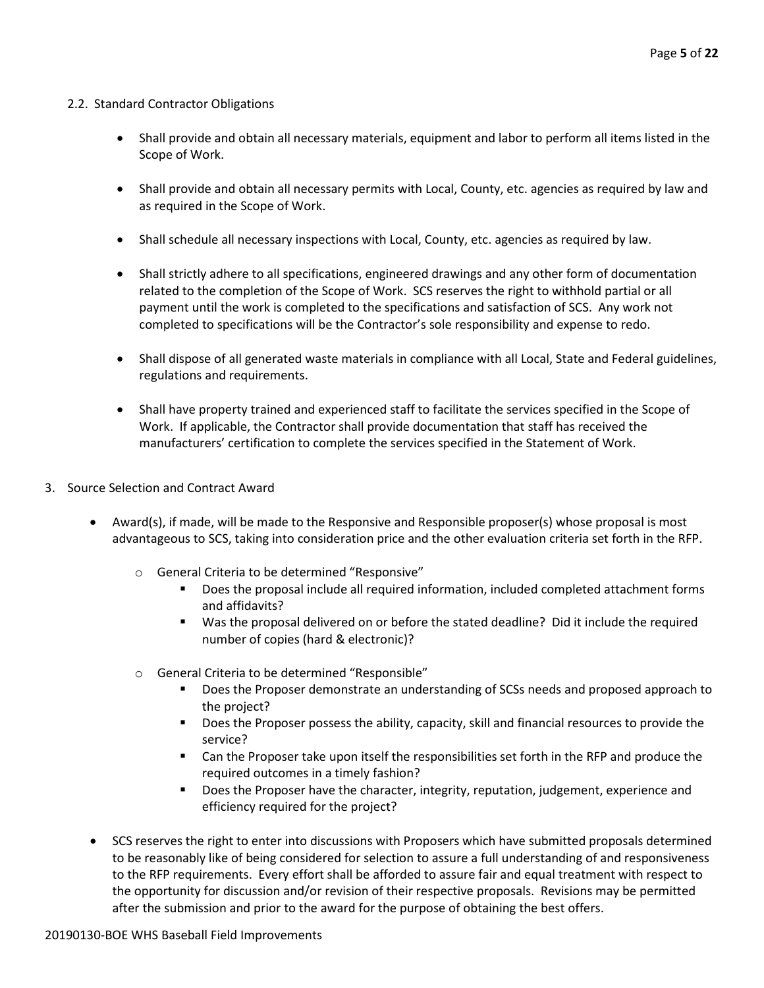#### 2.2. Standard Contractor Obligations

- Shall provide and obtain all necessary materials, equipment and labor to perform all items listed in the Scope of Work.
- Shall provide and obtain all necessary permits with Local, County, etc. agencies as required by law and as required in the Scope of Work.
- Shall schedule all necessary inspections with Local, County, etc. agencies as required by law.
- Shall strictly adhere to all specifications, engineered drawings and any other form of documentation related to the completion of the Scope of Work. SCS reserves the right to withhold partial or all payment until the work is completed to the specifications and satisfaction of SCS. Any work not completed to specifications will be the Contractor's sole responsibility and expense to redo.
- Shall dispose of all generated waste materials in compliance with all Local, State and Federal guidelines, regulations and requirements.
- Shall have property trained and experienced staff to facilitate the services specified in the Scope of Work. If applicable, the Contractor shall provide documentation that staff has received the manufacturers' certification to complete the services specified in the Statement of Work.
- 3. Source Selection and Contract Award
	- Award(s), if made, will be made to the Responsive and Responsible proposer(s) whose proposal is most advantageous to SCS, taking into consideration price and the other evaluation criteria set forth in the RFP.
		- o General Criteria to be determined "Responsive"
			- Does the proposal include all required information, included completed attachment forms and affidavits?
			- Was the proposal delivered on or before the stated deadline? Did it include the required number of copies (hard & electronic)?
		- o General Criteria to be determined "Responsible"
			- **Does the Proposer demonstrate an understanding of SCSs needs and proposed approach to** the project?
			- **Does the Proposer possess the ability, capacity, skill and financial resources to provide the** service?
			- Can the Proposer take upon itself the responsibilities set forth in the RFP and produce the required outcomes in a timely fashion?
			- **Does the Proposer have the character, integrity, reputation, judgement, experience and** efficiency required for the project?
	- SCS reserves the right to enter into discussions with Proposers which have submitted proposals determined to be reasonably like of being considered for selection to assure a full understanding of and responsiveness to the RFP requirements. Every effort shall be afforded to assure fair and equal treatment with respect to the opportunity for discussion and/or revision of their respective proposals. Revisions may be permitted after the submission and prior to the award for the purpose of obtaining the best offers.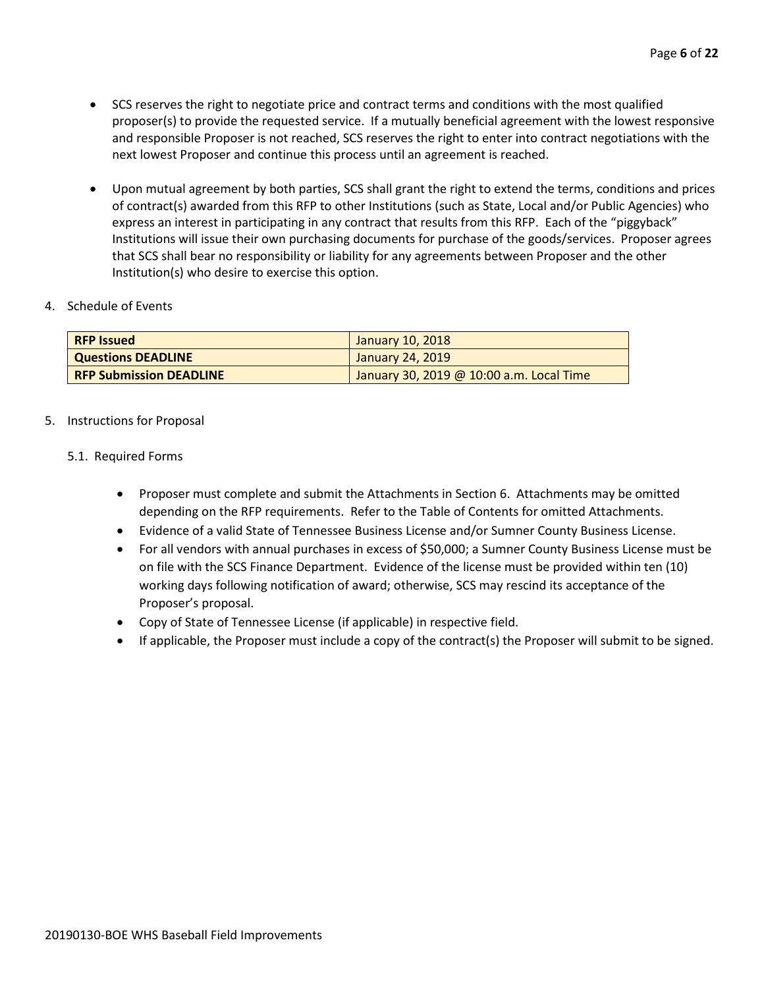- SCS reserves the right to negotiate price and contract terms and conditions with the most qualified proposer(s) to provide the requested service. If a mutually beneficial agreement with the lowest responsive and responsible Proposer is not reached, SCS reserves the right to enter into contract negotiations with the next lowest Proposer and continue this process until an agreement is reached.
- Upon mutual agreement by both parties, SCS shall grant the right to extend the terms, conditions and prices of contract(s) awarded from this RFP to other Institutions (such as State, Local and/or Public Agencies) who express an interest in participating in any contract that results from this RFP. Each of the "piggyback" Institutions will issue their own purchasing documents for purchase of the goods/services. Proposer agrees that SCS shall bear no responsibility or liability for any agreements between Proposer and the other Institution(s) who desire to exercise this option.

#### 4. Schedule of Events

| <b>RFP Issued</b>              | January 10, 2018                         |
|--------------------------------|------------------------------------------|
| <b>Questions DEADLINE</b>      | January 24, 2019                         |
| <b>RFP Submission DEADLINE</b> | January 30, 2019 @ 10:00 a.m. Local Time |

#### 5. Instructions for Proposal

#### 5.1. Required Forms

- Proposer must complete and submit the Attachments in Section 6. Attachments may be omitted depending on the RFP requirements. Refer to the Table of Contents for omitted Attachments.
- Evidence of a valid State of Tennessee Business License and/or Sumner County Business License.
- For all vendors with annual purchases in excess of \$50,000; a Sumner County Business License must be on file with the SCS Finance Department. Evidence of the license must be provided within ten (10) working days following notification of award; otherwise, SCS may rescind its acceptance of the Proposer's proposal.
- Copy of State of Tennessee License (if applicable) in respective field.
- If applicable, the Proposer must include a copy of the contract(s) the Proposer will submit to be signed.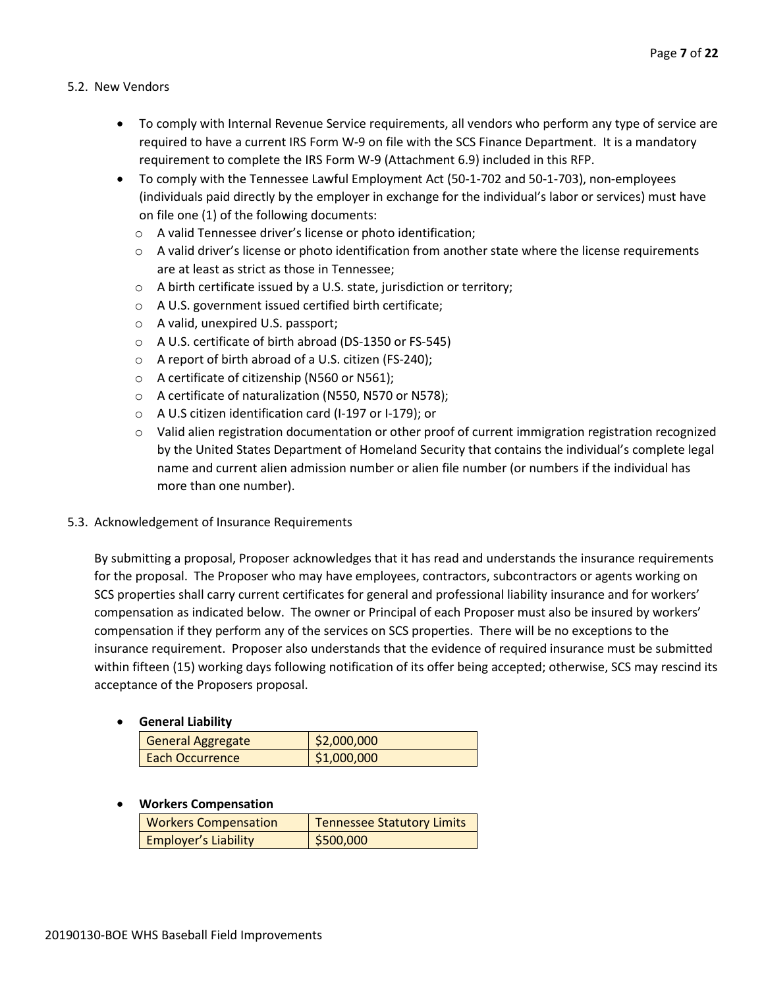#### 5.2. New Vendors

- To comply with Internal Revenue Service requirements, all vendors who perform any type of service are required to have a current IRS Form W-9 on file with the SCS Finance Department. It is a mandatory requirement to complete the IRS Form W-9 (Attachment 6.9) included in this RFP.
- To comply with the Tennessee Lawful Employment Act (50-1-702 and 50-1-703), non-employees (individuals paid directly by the employer in exchange for the individual's labor or services) must have on file one (1) of the following documents:
	- o A valid Tennessee driver's license or photo identification;
	- $\circ$  A valid driver's license or photo identification from another state where the license requirements are at least as strict as those in Tennessee;
	- o A birth certificate issued by a U.S. state, jurisdiction or territory;
	- o A U.S. government issued certified birth certificate;
	- o A valid, unexpired U.S. passport;
	- o A U.S. certificate of birth abroad (DS-1350 or FS-545)
	- o A report of birth abroad of a U.S. citizen (FS-240);
	- o A certificate of citizenship (N560 or N561);
	- o A certificate of naturalization (N550, N570 or N578);
	- o A U.S citizen identification card (I-197 or I-179); or
	- o Valid alien registration documentation or other proof of current immigration registration recognized by the United States Department of Homeland Security that contains the individual's complete legal name and current alien admission number or alien file number (or numbers if the individual has more than one number).

#### 5.3. Acknowledgement of Insurance Requirements

By submitting a proposal, Proposer acknowledges that it has read and understands the insurance requirements for the proposal. The Proposer who may have employees, contractors, subcontractors or agents working on SCS properties shall carry current certificates for general and professional liability insurance and for workers' compensation as indicated below. The owner or Principal of each Proposer must also be insured by workers' compensation if they perform any of the services on SCS properties. There will be no exceptions to the insurance requirement. Proposer also understands that the evidence of required insurance must be submitted within fifteen (15) working days following notification of its offer being accepted; otherwise, SCS may rescind its acceptance of the Proposers proposal.

• **General Liability**

| <b>General Aggregate</b> | \$2,000,000 |
|--------------------------|-------------|
| <b>Each Occurrence</b>   | \$1,000,000 |

#### • **Workers Compensation**

| <b>Workers Compensation</b> | <b>Tennessee Statutory Limits</b> |
|-----------------------------|-----------------------------------|
| <b>Employer's Liability</b> | 5500,000                          |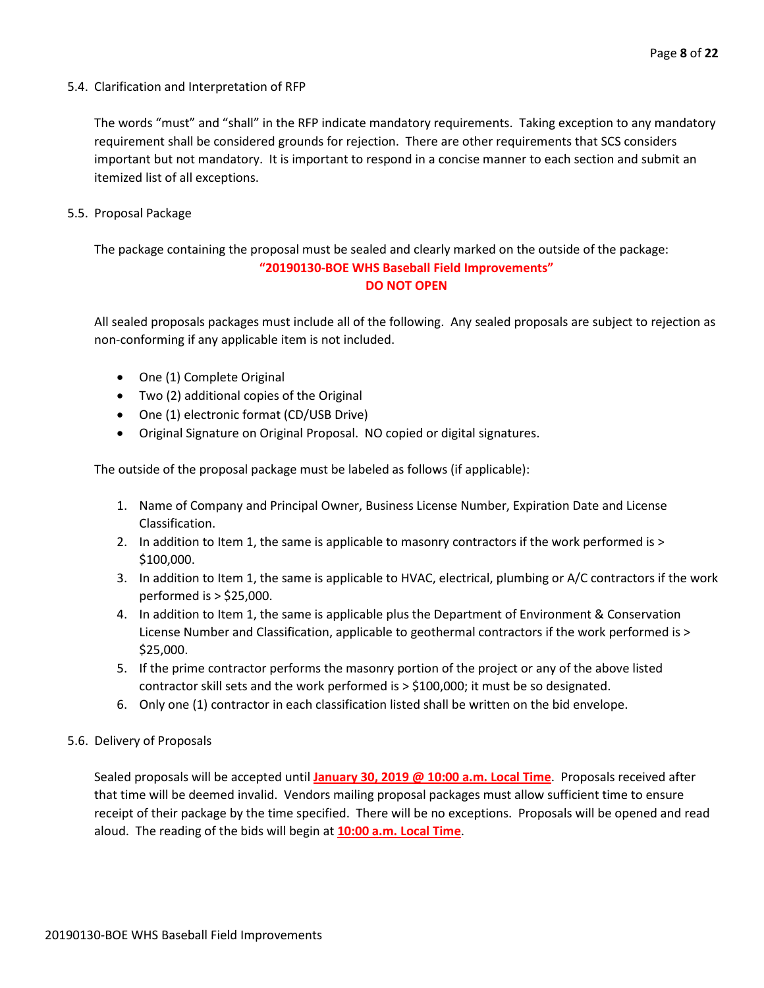5.4. Clarification and Interpretation of RFP

The words "must" and "shall" in the RFP indicate mandatory requirements. Taking exception to any mandatory requirement shall be considered grounds for rejection. There are other requirements that SCS considers important but not mandatory. It is important to respond in a concise manner to each section and submit an itemized list of all exceptions.

5.5. Proposal Package

The package containing the proposal must be sealed and clearly marked on the outside of the package: **"20190130-BOE WHS Baseball Field Improvements" DO NOT OPEN**

All sealed proposals packages must include all of the following. Any sealed proposals are subject to rejection as non-conforming if any applicable item is not included.

- One (1) Complete Original
- Two (2) additional copies of the Original
- One (1) electronic format (CD/USB Drive)
- Original Signature on Original Proposal. NO copied or digital signatures.

The outside of the proposal package must be labeled as follows (if applicable):

- 1. Name of Company and Principal Owner, Business License Number, Expiration Date and License Classification.
- 2. In addition to Item 1, the same is applicable to masonry contractors if the work performed is > \$100,000.
- 3. In addition to Item 1, the same is applicable to HVAC, electrical, plumbing or A/C contractors if the work performed is > \$25,000.
- 4. In addition to Item 1, the same is applicable plus the Department of Environment & Conservation License Number and Classification, applicable to geothermal contractors if the work performed is > \$25,000.
- 5. If the prime contractor performs the masonry portion of the project or any of the above listed contractor skill sets and the work performed is > \$100,000; it must be so designated.
- 6. Only one (1) contractor in each classification listed shall be written on the bid envelope.
- 5.6. Delivery of Proposals

Sealed proposals will be accepted until **January 30, 2019 @ 10:00 a.m. Local Time**. Proposals received after that time will be deemed invalid. Vendors mailing proposal packages must allow sufficient time to ensure receipt of their package by the time specified. There will be no exceptions. Proposals will be opened and read aloud. The reading of the bids will begin at **10:00 a.m. Local Time**.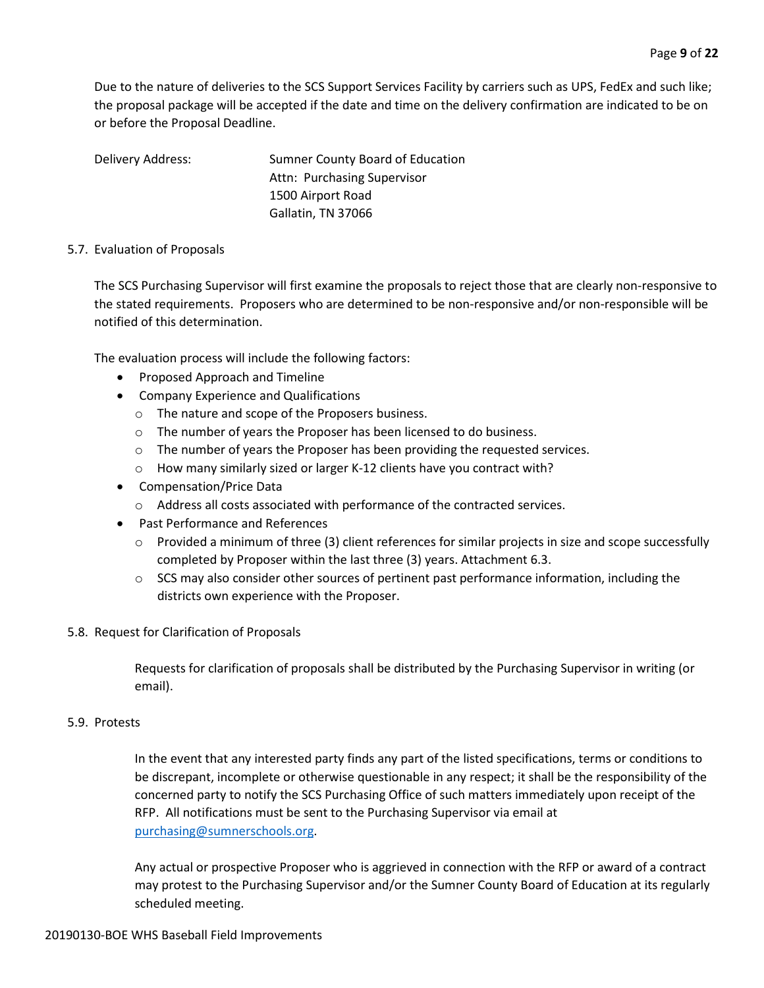Due to the nature of deliveries to the SCS Support Services Facility by carriers such as UPS, FedEx and such like; the proposal package will be accepted if the date and time on the delivery confirmation are indicated to be on or before the Proposal Deadline.

Delivery Address: Sumner County Board of Education Attn: Purchasing Supervisor 1500 Airport Road Gallatin, TN 37066

#### 5.7. Evaluation of Proposals

The SCS Purchasing Supervisor will first examine the proposals to reject those that are clearly non-responsive to the stated requirements. Proposers who are determined to be non-responsive and/or non-responsible will be notified of this determination.

The evaluation process will include the following factors:

- Proposed Approach and Timeline
- Company Experience and Qualifications
	- o The nature and scope of the Proposers business.
	- o The number of years the Proposer has been licensed to do business.
	- o The number of years the Proposer has been providing the requested services.
	- o How many similarly sized or larger K-12 clients have you contract with?
- Compensation/Price Data
	- o Address all costs associated with performance of the contracted services.
- Past Performance and References
	- $\circ$  Provided a minimum of three (3) client references for similar projects in size and scope successfully completed by Proposer within the last three (3) years. Attachment 6.3.
	- $\circ$  SCS may also consider other sources of pertinent past performance information, including the districts own experience with the Proposer.

#### 5.8. Request for Clarification of Proposals

Requests for clarification of proposals shall be distributed by the Purchasing Supervisor in writing (or email).

#### 5.9. Protests

In the event that any interested party finds any part of the listed specifications, terms or conditions to be discrepant, incomplete or otherwise questionable in any respect; it shall be the responsibility of the concerned party to notify the SCS Purchasing Office of such matters immediately upon receipt of the RFP. All notifications must be sent to the Purchasing Supervisor via email at [purchasing@sumnerschools.org.](mailto:purchasing@sumnerschools.org)

Any actual or prospective Proposer who is aggrieved in connection with the RFP or award of a contract may protest to the Purchasing Supervisor and/or the Sumner County Board of Education at its regularly scheduled meeting.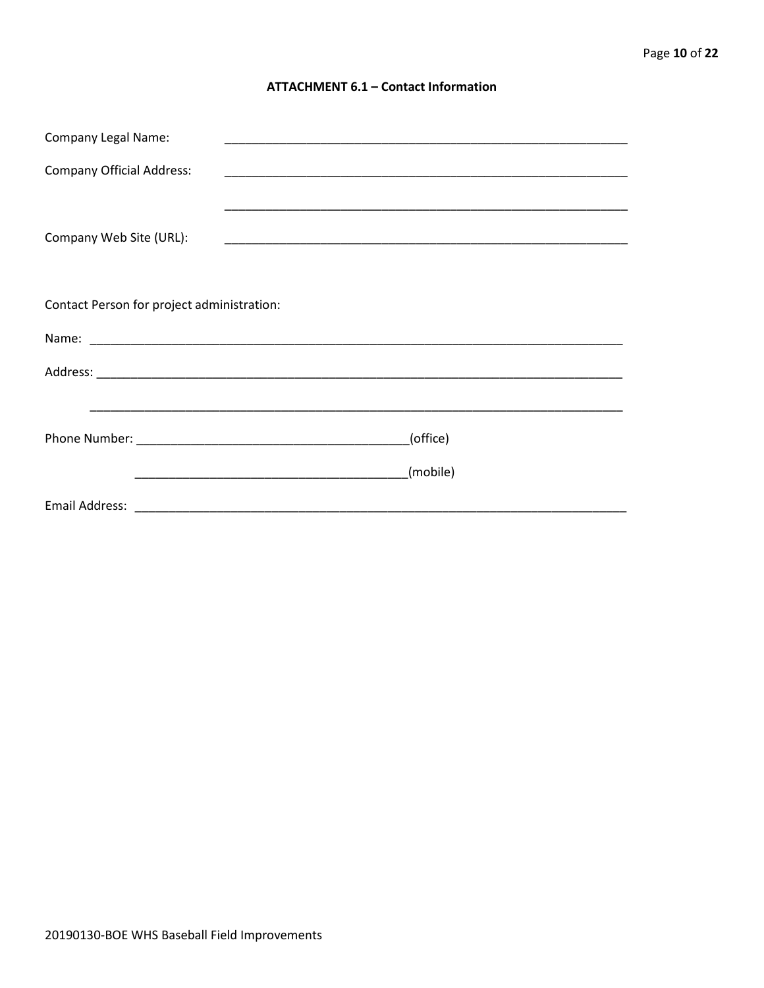#### **ATTACHMENT 6.1 - Contact Information**

| <b>Company Legal Name:</b>                 |          |
|--------------------------------------------|----------|
| <b>Company Official Address:</b>           |          |
| Company Web Site (URL):                    |          |
| Contact Person for project administration: |          |
|                                            |          |
|                                            |          |
|                                            |          |
|                                            | (office) |
|                                            | (mobile) |
|                                            |          |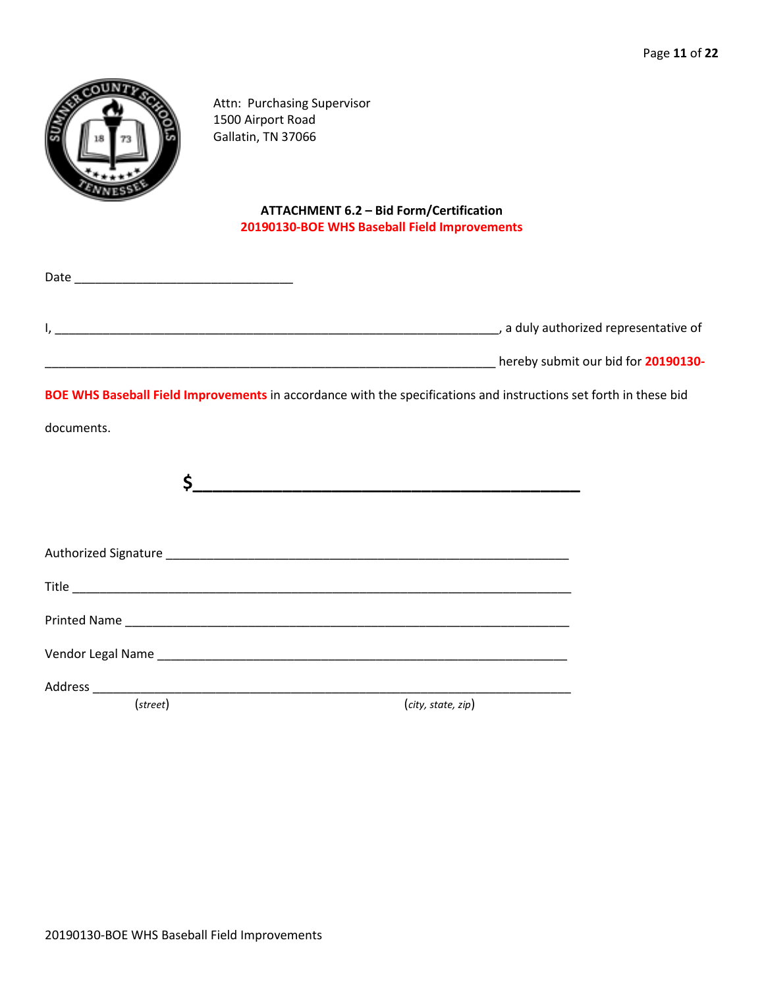

Date \_\_\_\_\_\_\_\_\_\_\_\_\_\_\_\_\_\_\_\_\_\_\_\_\_\_\_\_\_\_\_\_

Attn: Purchasing Supervisor 1500 Airport Road Gallatin, TN 37066

#### **ATTACHMENT 6.2 – Bid Form/Certification 20190130-BOE WHS Baseball Field Improvements**

| , a duly authorized representative of |  |
|---------------------------------------|--|
| hereby submit our bid for 20190130-   |  |

**BOE WHS Baseball Field Improvements** in accordance with the specifications and instructions set forth in these bid

documents.

| (street) | (city, state, zip) |
|----------|--------------------|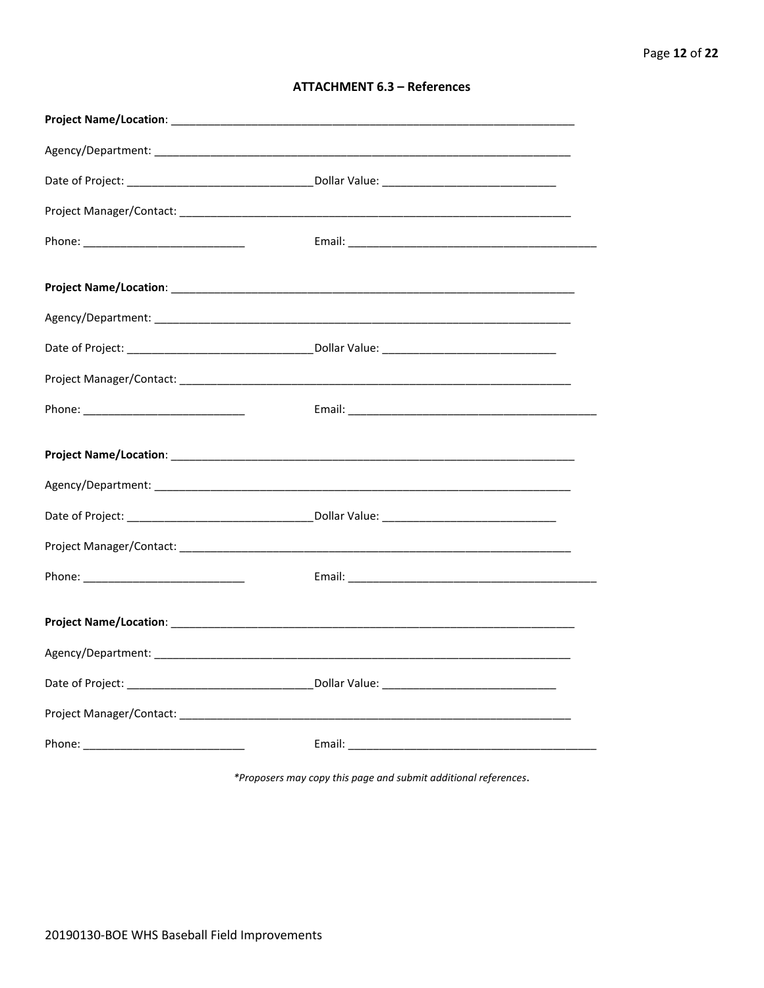| <b>ATTACHMENT 6.3 - References</b> |  |  |
|------------------------------------|--|--|
|------------------------------------|--|--|

\*Proposers may copy this page and submit additional references.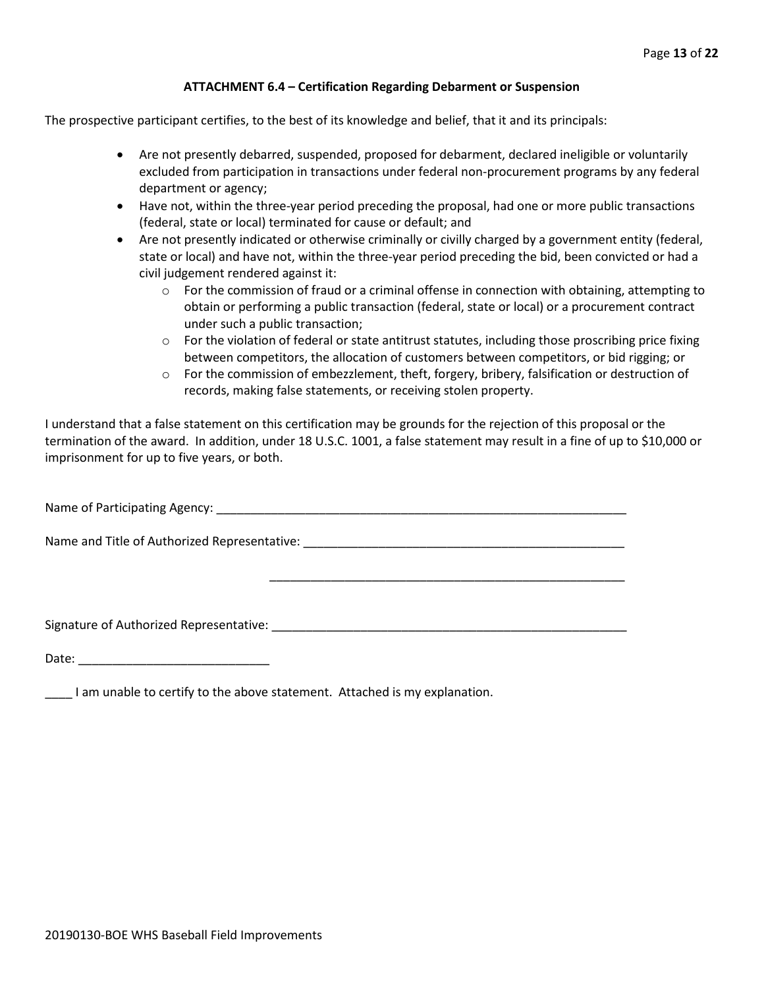#### **ATTACHMENT 6.4 – Certification Regarding Debarment or Suspension**

The prospective participant certifies, to the best of its knowledge and belief, that it and its principals:

- Are not presently debarred, suspended, proposed for debarment, declared ineligible or voluntarily excluded from participation in transactions under federal non-procurement programs by any federal department or agency;
- Have not, within the three-year period preceding the proposal, had one or more public transactions (federal, state or local) terminated for cause or default; and
- Are not presently indicated or otherwise criminally or civilly charged by a government entity (federal, state or local) and have not, within the three-year period preceding the bid, been convicted or had a civil judgement rendered against it:
	- $\circ$  For the commission of fraud or a criminal offense in connection with obtaining, attempting to obtain or performing a public transaction (federal, state or local) or a procurement contract under such a public transaction;
	- $\circ$  For the violation of federal or state antitrust statutes, including those proscribing price fixing between competitors, the allocation of customers between competitors, or bid rigging; or
	- o For the commission of embezzlement, theft, forgery, bribery, falsification or destruction of records, making false statements, or receiving stolen property.

\_\_\_\_\_\_\_\_\_\_\_\_\_\_\_\_\_\_\_\_\_\_\_\_\_\_\_\_\_\_\_\_\_\_\_\_\_\_\_\_\_\_\_\_\_\_\_\_\_\_\_\_

I understand that a false statement on this certification may be grounds for the rejection of this proposal or the termination of the award. In addition, under 18 U.S.C. 1001, a false statement may result in a fine of up to \$10,000 or imprisonment for up to five years, or both.

Name of Participating Agency: \_\_\_\_\_\_\_\_\_\_\_\_\_\_\_\_\_\_\_\_\_\_\_\_\_\_\_\_\_\_\_\_\_\_\_\_\_\_\_\_\_\_\_\_\_\_\_\_\_\_\_\_\_\_\_\_\_\_\_\_

Name and Title of Authorized Representative: \_\_\_\_\_\_\_\_\_\_\_\_\_\_\_\_\_\_\_\_\_\_\_\_\_\_\_\_\_\_\_\_\_\_\_\_\_\_\_\_\_\_\_\_\_\_\_

Signature of Authorized Representative: \_\_\_\_\_\_\_\_\_\_\_\_\_\_\_\_\_\_\_\_\_\_\_\_\_\_\_\_\_\_\_\_\_\_\_\_\_\_\_\_\_\_\_\_\_\_\_\_\_\_\_\_

Date: \_\_\_\_\_\_\_\_\_\_\_\_\_\_\_\_\_\_\_\_\_\_\_\_\_\_\_\_

\_\_\_\_ I am unable to certify to the above statement. Attached is my explanation.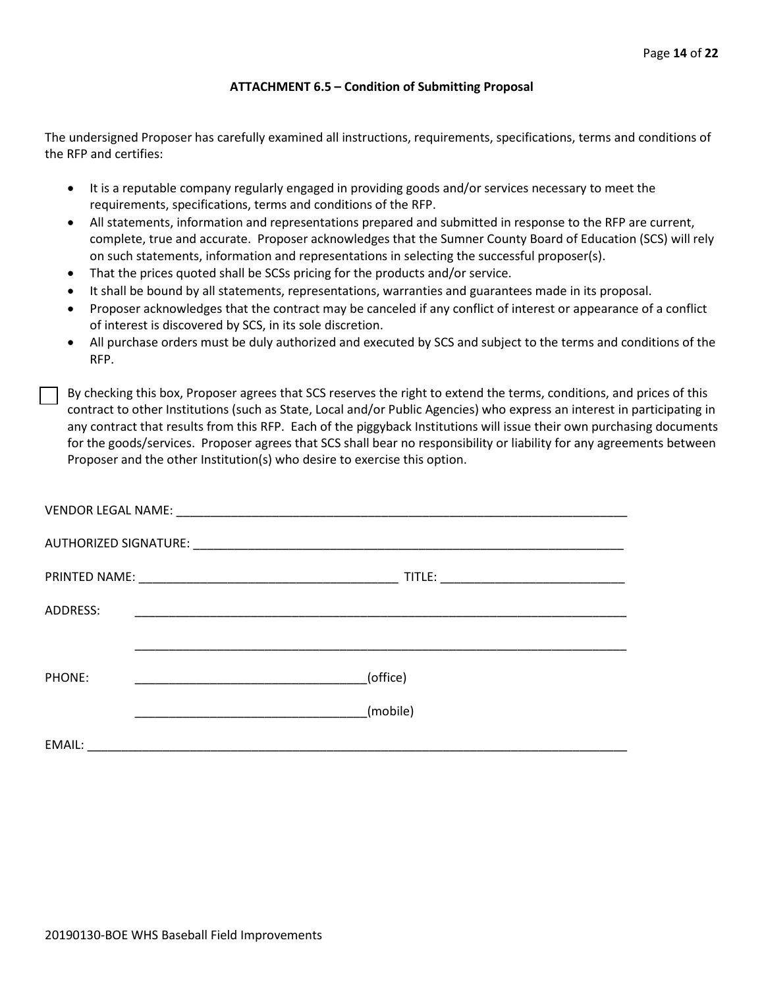#### **ATTACHMENT 6.5 – Condition of Submitting Proposal**

The undersigned Proposer has carefully examined all instructions, requirements, specifications, terms and conditions of the RFP and certifies:

- It is a reputable company regularly engaged in providing goods and/or services necessary to meet the requirements, specifications, terms and conditions of the RFP.
- All statements, information and representations prepared and submitted in response to the RFP are current, complete, true and accurate. Proposer acknowledges that the Sumner County Board of Education (SCS) will rely on such statements, information and representations in selecting the successful proposer(s).
- That the prices quoted shall be SCSs pricing for the products and/or service.
- It shall be bound by all statements, representations, warranties and guarantees made in its proposal.
- Proposer acknowledges that the contract may be canceled if any conflict of interest or appearance of a conflict of interest is discovered by SCS, in its sole discretion.
- All purchase orders must be duly authorized and executed by SCS and subject to the terms and conditions of the RFP.

By checking this box, Proposer agrees that SCS reserves the right to extend the terms, conditions, and prices of this contract to other Institutions (such as State, Local and/or Public Agencies) who express an interest in participating in any contract that results from this RFP. Each of the piggyback Institutions will issue their own purchasing documents for the goods/services. Proposer agrees that SCS shall bear no responsibility or liability for any agreements between Proposer and the other Institution(s) who desire to exercise this option.

| ADDRESS: | <u> 1989 - Johann John Stone, markin film yn y system yn y system yn y system yn y system yn y system yn y system</u> |
|----------|-----------------------------------------------------------------------------------------------------------------------|
|          |                                                                                                                       |
| PHONE:   | (office)                                                                                                              |
|          | (mobile)                                                                                                              |
| EMAIL:   | <u> 2000 - Jan Barnett, mars et al. 2000 - et al. 2000 - et al. 2000 - et al. 2000 - et al. 2000 - et al. 2000 - </u> |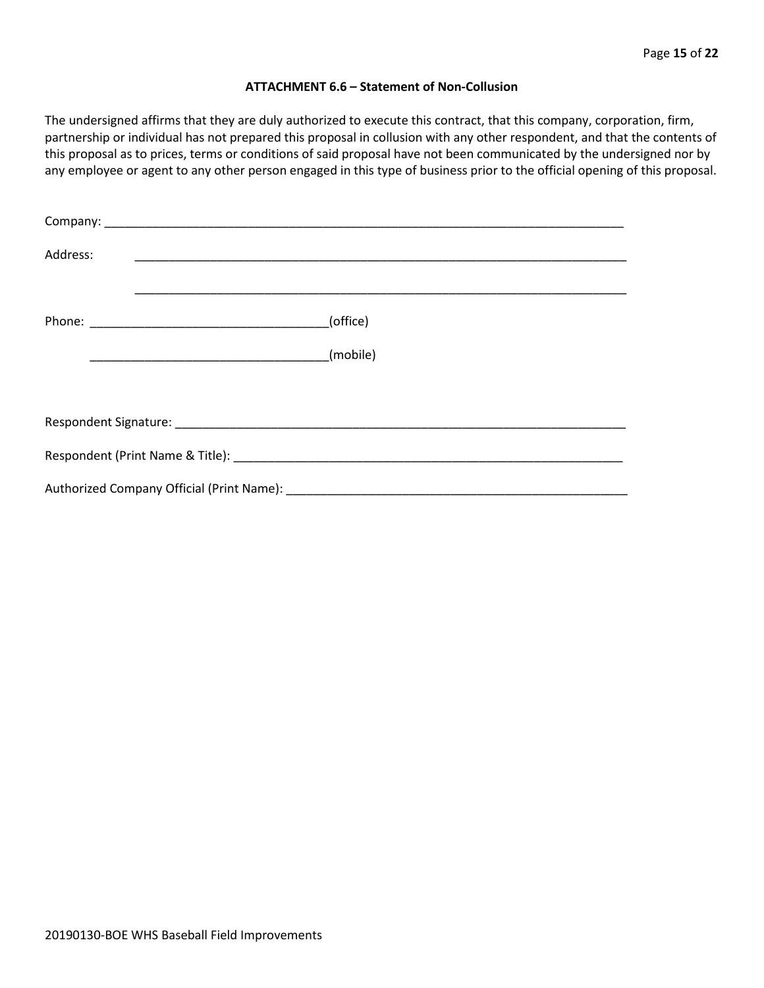#### **ATTACHMENT 6.6 – Statement of Non-Collusion**

The undersigned affirms that they are duly authorized to execute this contract, that this company, corporation, firm, partnership or individual has not prepared this proposal in collusion with any other respondent, and that the contents of this proposal as to prices, terms or conditions of said proposal have not been communicated by the undersigned nor by any employee or agent to any other person engaged in this type of business prior to the official opening of this proposal.

| Address: |          |  |  |  |  |
|----------|----------|--|--|--|--|
|          | (office) |  |  |  |  |
|          | (mobile) |  |  |  |  |
|          |          |  |  |  |  |
|          |          |  |  |  |  |
|          |          |  |  |  |  |
|          |          |  |  |  |  |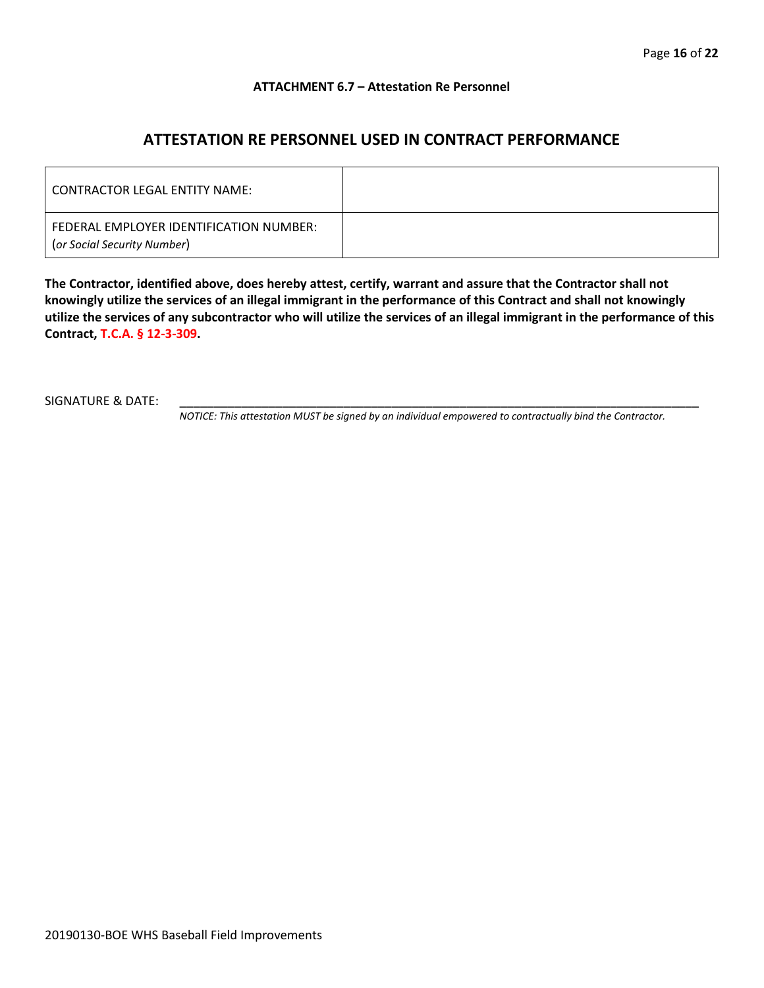#### **ATTACHMENT 6.7 – Attestation Re Personnel**

### **ATTESTATION RE PERSONNEL USED IN CONTRACT PERFORMANCE**

| CONTRACTOR LEGAL ENTITY NAME:                                          |  |
|------------------------------------------------------------------------|--|
| FEDERAL EMPLOYER IDENTIFICATION NUMBER:<br>(or Social Security Number) |  |

**The Contractor, identified above, does hereby attest, certify, warrant and assure that the Contractor shall not knowingly utilize the services of an illegal immigrant in the performance of this Contract and shall not knowingly utilize the services of any subcontractor who will utilize the services of an illegal immigrant in the performance of this Contract, T.C.A. § 12-3-309.**

SIGNATURE & DATE:

*NOTICE: This attestation MUST be signed by an individual empowered to contractually bind the Contractor.*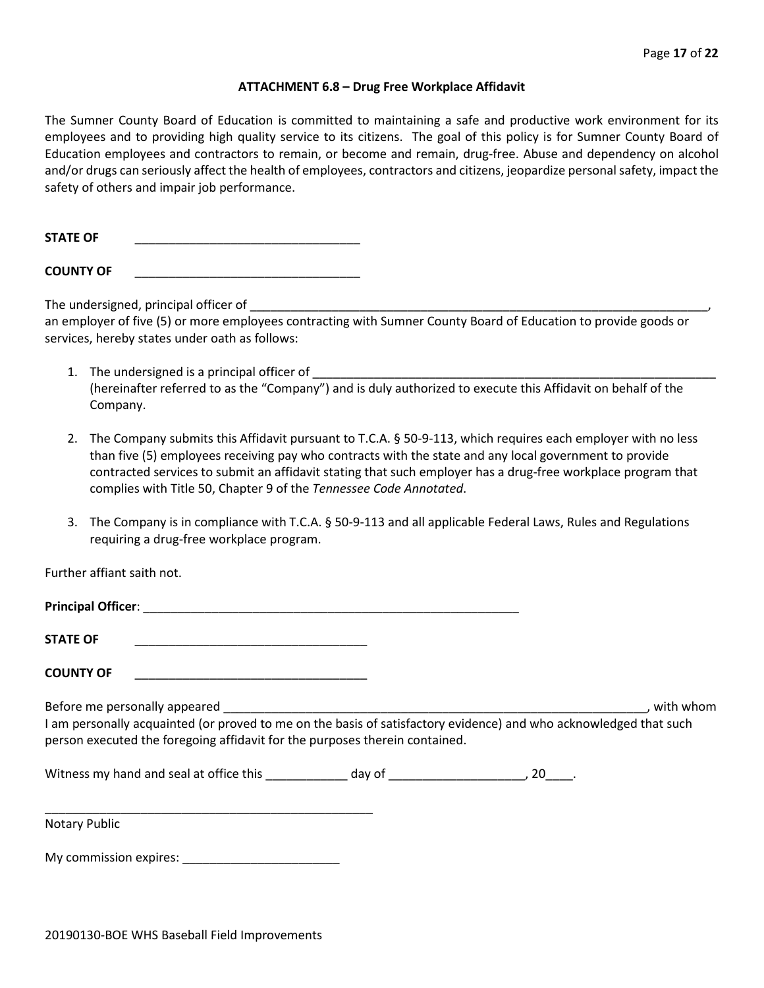#### **ATTACHMENT 6.8 – Drug Free Workplace Affidavit**

The Sumner County Board of Education is committed to maintaining a safe and productive work environment for its employees and to providing high quality service to its citizens. The goal of this policy is for Sumner County Board of Education employees and contractors to remain, or become and remain, drug-free. Abuse and dependency on alcohol and/or drugs can seriously affect the health of employees, contractors and citizens, jeopardize personal safety, impact the safety of others and impair job performance.

**STATE OF** \_\_\_\_\_\_\_\_\_\_\_\_\_\_\_\_\_\_\_\_\_\_\_\_\_\_\_\_\_\_\_\_\_

**COUNTY OF** \_\_\_\_\_\_\_\_\_\_\_\_\_\_\_\_\_\_\_\_\_\_\_\_\_\_\_\_\_\_\_\_\_

The undersigned, principal officer of

an employer of five (5) or more employees contracting with Sumner County Board of Education to provide goods or services, hereby states under oath as follows:

- 1. The undersigned is a principal officer of (hereinafter referred to as the "Company") and is duly authorized to execute this Affidavit on behalf of the Company.
- 2. The Company submits this Affidavit pursuant to T.C.A. § 50-9-113, which requires each employer with no less than five (5) employees receiving pay who contracts with the state and any local government to provide contracted services to submit an affidavit stating that such employer has a drug-free workplace program that complies with Title 50, Chapter 9 of the *Tennessee Code Annotated*.
- 3. The Company is in compliance with T.C.A. § 50-9-113 and all applicable Federal Laws, Rules and Regulations requiring a drug-free workplace program.

Further affiant saith not.

| <b>STATE OF</b>                                                                                                                                                                                  |  |           |
|--------------------------------------------------------------------------------------------------------------------------------------------------------------------------------------------------|--|-----------|
| <b>COUNTY OF</b>                                                                                                                                                                                 |  |           |
| I am personally acquainted (or proved to me on the basis of satisfactory evidence) and who acknowledged that such<br>person executed the foregoing affidavit for the purposes therein contained. |  | with whom |
|                                                                                                                                                                                                  |  |           |
|                                                                                                                                                                                                  |  |           |

Notary Public

My commission expires: \_\_\_\_\_\_\_\_\_\_\_\_\_\_\_\_\_\_\_\_\_\_\_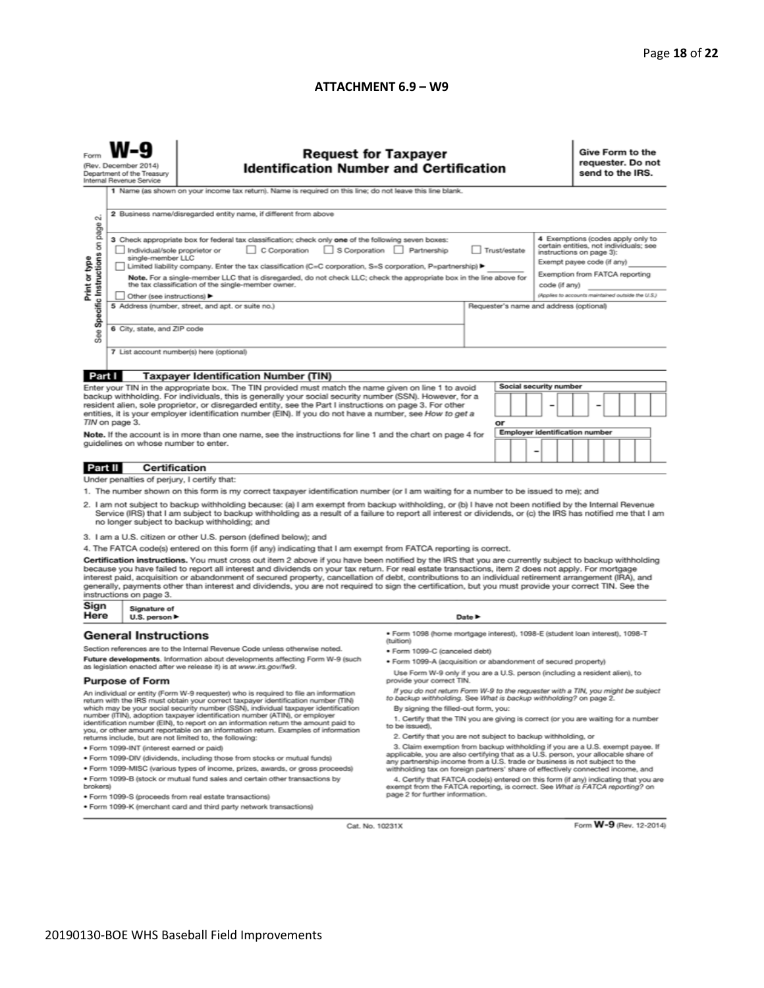#### **ATTACHMENT 6.9 – W9**

|                                                                                                                                                                                                                                                                                                                                                                                                                                                                                                                                                                                                                                                                                                                                                                                                                                                                                                                                                                                                                                                                                                                                                                                                                                                                                                                                                                | <b>Request for Taxpayer</b><br>(Rev. December 2014)<br><b>Identification Number and Certification</b><br>Department of the Treasury<br>Internal Revenue Service<br>1 Name (as shown on your income tax return). Name is required on this line; do not leave this line blank.<br>2 Business name/disregarded entity name, if different from above                                                                                                                                                                                                                                                                                                                                                                                                |                                                                                                                              |                                                                                                                                                                                                                                                                                                                                                                                                                                                                                                                                                                                                                                                                                                                                                                                                                                                                                                                                                                                                                                                                                                                                                     |                            |        |  |  | Give Form to the<br>requester. Do not<br>send to the IRS.                                                                                                                                                                    |  |  |  |  |
|----------------------------------------------------------------------------------------------------------------------------------------------------------------------------------------------------------------------------------------------------------------------------------------------------------------------------------------------------------------------------------------------------------------------------------------------------------------------------------------------------------------------------------------------------------------------------------------------------------------------------------------------------------------------------------------------------------------------------------------------------------------------------------------------------------------------------------------------------------------------------------------------------------------------------------------------------------------------------------------------------------------------------------------------------------------------------------------------------------------------------------------------------------------------------------------------------------------------------------------------------------------------------------------------------------------------------------------------------------------|-------------------------------------------------------------------------------------------------------------------------------------------------------------------------------------------------------------------------------------------------------------------------------------------------------------------------------------------------------------------------------------------------------------------------------------------------------------------------------------------------------------------------------------------------------------------------------------------------------------------------------------------------------------------------------------------------------------------------------------------------|------------------------------------------------------------------------------------------------------------------------------|-----------------------------------------------------------------------------------------------------------------------------------------------------------------------------------------------------------------------------------------------------------------------------------------------------------------------------------------------------------------------------------------------------------------------------------------------------------------------------------------------------------------------------------------------------------------------------------------------------------------------------------------------------------------------------------------------------------------------------------------------------------------------------------------------------------------------------------------------------------------------------------------------------------------------------------------------------------------------------------------------------------------------------------------------------------------------------------------------------------------------------------------------------|----------------------------|--------|--|--|------------------------------------------------------------------------------------------------------------------------------------------------------------------------------------------------------------------------------|--|--|--|--|
| N<br>Specific Instructions on page<br>Print or type<br>See                                                                                                                                                                                                                                                                                                                                                                                                                                                                                                                                                                                                                                                                                                                                                                                                                                                                                                                                                                                                                                                                                                                                                                                                                                                                                                     | 3 Check appropriate box for federal tax classification; check only one of the following seven boxes:<br>C Corporation<br>S Corporation Partnership<br>Trust/estate<br>Individual/sole proprietor or<br>single-member LLC<br>Limited liability company. Enter the tax classification (C=C corporation, S=S corporation, P=partnership) ▶<br>Note. For a single-member LLC that is disregarded, do not check LLC; check the appropriate box in the line above for<br>the tax classification of the single-member owner.<br>code (if any)<br>Other (see instructions) ▶<br>5 Address (number, street, and apt. or suite no.)<br>Requester's name and address (optional)<br>6 City, state, and ZIP code<br>7 List account number(s) here (optional) |                                                                                                                              |                                                                                                                                                                                                                                                                                                                                                                                                                                                                                                                                                                                                                                                                                                                                                                                                                                                                                                                                                                                                                                                                                                                                                     |                            |        |  |  | 4 Exemptions (codes apply only to<br>certain entities, not individuals; see<br>instructions on page 3):<br>Exempt payee code (if any)<br>Exemption from FATCA reporting<br>(Applies to accounts maintained outside the U.S.) |  |  |  |  |
|                                                                                                                                                                                                                                                                                                                                                                                                                                                                                                                                                                                                                                                                                                                                                                                                                                                                                                                                                                                                                                                                                                                                                                                                                                                                                                                                                                |                                                                                                                                                                                                                                                                                                                                                                                                                                                                                                                                                                                                                                                                                                                                                 |                                                                                                                              |                                                                                                                                                                                                                                                                                                                                                                                                                                                                                                                                                                                                                                                                                                                                                                                                                                                                                                                                                                                                                                                                                                                                                     |                            |        |  |  |                                                                                                                                                                                                                              |  |  |  |  |
| Part I<br><b>Taxpayer Identification Number (TIN)</b><br>Social security number<br>Enter your TIN in the appropriate box. The TIN provided must match the name given on line 1 to avoid<br>backup withholding. For individuals, this is generally your social security number (SSN). However, for a<br>resident alien, sole proprietor, or disregarded entity, see the Part I instructions on page 3. For other<br>entities, it is your employer identification number (EIN). If you do not have a number, see How to get a<br>TIN on page 3.<br>or<br><b>Employer identification number</b><br>Note. If the account is in more than one name, see the instructions for line 1 and the chart on page 4 for<br>guidelines on whose number to enter.                                                                                                                                                                                                                                                                                                                                                                                                                                                                                                                                                                                                             |                                                                                                                                                                                                                                                                                                                                                                                                                                                                                                                                                                                                                                                                                                                                                 |                                                                                                                              |                                                                                                                                                                                                                                                                                                                                                                                                                                                                                                                                                                                                                                                                                                                                                                                                                                                                                                                                                                                                                                                                                                                                                     |                            | -<br>- |  |  |                                                                                                                                                                                                                              |  |  |  |  |
|                                                                                                                                                                                                                                                                                                                                                                                                                                                                                                                                                                                                                                                                                                                                                                                                                                                                                                                                                                                                                                                                                                                                                                                                                                                                                                                                                                | <b>Certification</b>                                                                                                                                                                                                                                                                                                                                                                                                                                                                                                                                                                                                                                                                                                                            |                                                                                                                              |                                                                                                                                                                                                                                                                                                                                                                                                                                                                                                                                                                                                                                                                                                                                                                                                                                                                                                                                                                                                                                                                                                                                                     |                            |        |  |  |                                                                                                                                                                                                                              |  |  |  |  |
| Part II                                                                                                                                                                                                                                                                                                                                                                                                                                                                                                                                                                                                                                                                                                                                                                                                                                                                                                                                                                                                                                                                                                                                                                                                                                                                                                                                                        | Under penalties of perjury, I certify that:                                                                                                                                                                                                                                                                                                                                                                                                                                                                                                                                                                                                                                                                                                     |                                                                                                                              |                                                                                                                                                                                                                                                                                                                                                                                                                                                                                                                                                                                                                                                                                                                                                                                                                                                                                                                                                                                                                                                                                                                                                     |                            |        |  |  |                                                                                                                                                                                                                              |  |  |  |  |
| 1. The number shown on this form is my correct taxpayer identification number (or I am waiting for a number to be issued to me); and<br>2. I am not subject to backup withholding because: (a) I am exempt from backup withholding, or (b) I have not been notified by the Internal Revenue<br>Service (IRS) that I am subject to backup withholding as a result of a failure to report all interest or dividends, or (c) the IRS has notified me that I am<br>no longer subject to backup withholding; and<br>3. I am a U.S. citizen or other U.S. person (defined below); and<br>4. The FATCA code(s) entered on this form (if any) indicating that I am exempt from FATCA reporting is correct.<br>Certification instructions. You must cross out item 2 above if you have been notified by the IRS that you are currently subject to backup withholding<br>because you have failed to report all interest and dividends on your tax return. For real estate transactions, item 2 does not apply. For mortgage<br>interest paid, acquisition or abandonment of secured property, cancellation of debt, contributions to an individual retirement arrangement (IRA), and<br>generally, payments other than interest and dividends, you are not required to sign the certification, but you must provide your correct TIN. See the<br>instructions on page 3. |                                                                                                                                                                                                                                                                                                                                                                                                                                                                                                                                                                                                                                                                                                                                                 |                                                                                                                              |                                                                                                                                                                                                                                                                                                                                                                                                                                                                                                                                                                                                                                                                                                                                                                                                                                                                                                                                                                                                                                                                                                                                                     |                            |        |  |  |                                                                                                                                                                                                                              |  |  |  |  |
| Sign                                                                                                                                                                                                                                                                                                                                                                                                                                                                                                                                                                                                                                                                                                                                                                                                                                                                                                                                                                                                                                                                                                                                                                                                                                                                                                                                                           | Signature of                                                                                                                                                                                                                                                                                                                                                                                                                                                                                                                                                                                                                                                                                                                                    |                                                                                                                              |                                                                                                                                                                                                                                                                                                                                                                                                                                                                                                                                                                                                                                                                                                                                                                                                                                                                                                                                                                                                                                                                                                                                                     |                            |        |  |  |                                                                                                                                                                                                                              |  |  |  |  |
| Here                                                                                                                                                                                                                                                                                                                                                                                                                                                                                                                                                                                                                                                                                                                                                                                                                                                                                                                                                                                                                                                                                                                                                                                                                                                                                                                                                           | U.S. person ▶<br><b>General Instructions</b>                                                                                                                                                                                                                                                                                                                                                                                                                                                                                                                                                                                                                                                                                                    |                                                                                                                              | · Form 1098 (home mortgage interest), 1098-E (student loan interest), 1098-T                                                                                                                                                                                                                                                                                                                                                                                                                                                                                                                                                                                                                                                                                                                                                                                                                                                                                                                                                                                                                                                                        | Date $\blacktriangleright$ |        |  |  |                                                                                                                                                                                                                              |  |  |  |  |
| Section references are to the Internal Revenue Code unless otherwise noted.<br>Future developments. Information about developments affecting Form W-9 (such<br>as legislation enacted after we release it) is at www.irs.gov/fw9.<br><b>Purpose of Form</b><br>An individual or entity (Form W-9 requester) who is required to file an information<br>return with the IRS must obtain your correct taxpayer identification number (TIN)<br>which may be your social security number (SSN), individual taxpayer identification<br>number (ITIN), adoption taxpayer identification number (ATIN), or employer<br>identification number (EIN), to report on an information return the amount paid to<br>you, or other amount reportable on an information return. Examples of information<br>returns include, but are not limited to, the following:<br>· Form 1099-INT (interest earned or paid)<br>. Form 1099-DIV (dividends, including those from stocks or mutual funds)<br>* Form 1099-MISC (various types of income, prizes, awards, or gross proceeds)<br>. Form 1099-B (stock or mutual fund sales and certain other transactions by<br>brokers)                                                                                                                                                                                                         |                                                                                                                                                                                                                                                                                                                                                                                                                                                                                                                                                                                                                                                                                                                                                 |                                                                                                                              | (tuition)<br>· Form 1099-C (canceled debt)<br>. Form 1099-A (acquisition or abandonment of secured property)<br>Use Form W-9 only if you are a U.S. person (including a resident alien), to<br>provide your correct TIN.<br>If you do not return Form W-9 to the requester with a TIN, you might be subject<br>to backup withholding. See What is backup withholding? on page 2.<br>By signing the filled-out form, you:<br>1. Certify that the TIN you are giving is correct (or you are waiting for a number<br>to be issued).<br>2. Certify that you are not subject to backup withholding, or<br>3. Claim exemption from backup withholding if you are a U.S. exempt payee. If<br>applicable, you are also certifying that as a U.S. person, your allocable share of<br>any partnership income from a U.S. trade or business is not subject to the<br>withholding tax on foreign partners' share of effectively connected income, and<br>4. Certify that FATCA code(s) entered on this form (if any) indicating that you are<br>exempt from the FATCA reporting, is correct. See What is FATCA reporting? on<br>page 2 for further information. |                            |        |  |  |                                                                                                                                                                                                                              |  |  |  |  |
|                                                                                                                                                                                                                                                                                                                                                                                                                                                                                                                                                                                                                                                                                                                                                                                                                                                                                                                                                                                                                                                                                                                                                                                                                                                                                                                                                                |                                                                                                                                                                                                                                                                                                                                                                                                                                                                                                                                                                                                                                                                                                                                                 | · Form 1099-S (proceeds from real estate transactions)<br>. Form 1099-K (merchant card and third party network transactions) |                                                                                                                                                                                                                                                                                                                                                                                                                                                                                                                                                                                                                                                                                                                                                                                                                                                                                                                                                                                                                                                                                                                                                     |                            |        |  |  |                                                                                                                                                                                                                              |  |  |  |  |

Cat. No. 10231X

Form W-9 (Rev. 12-2014)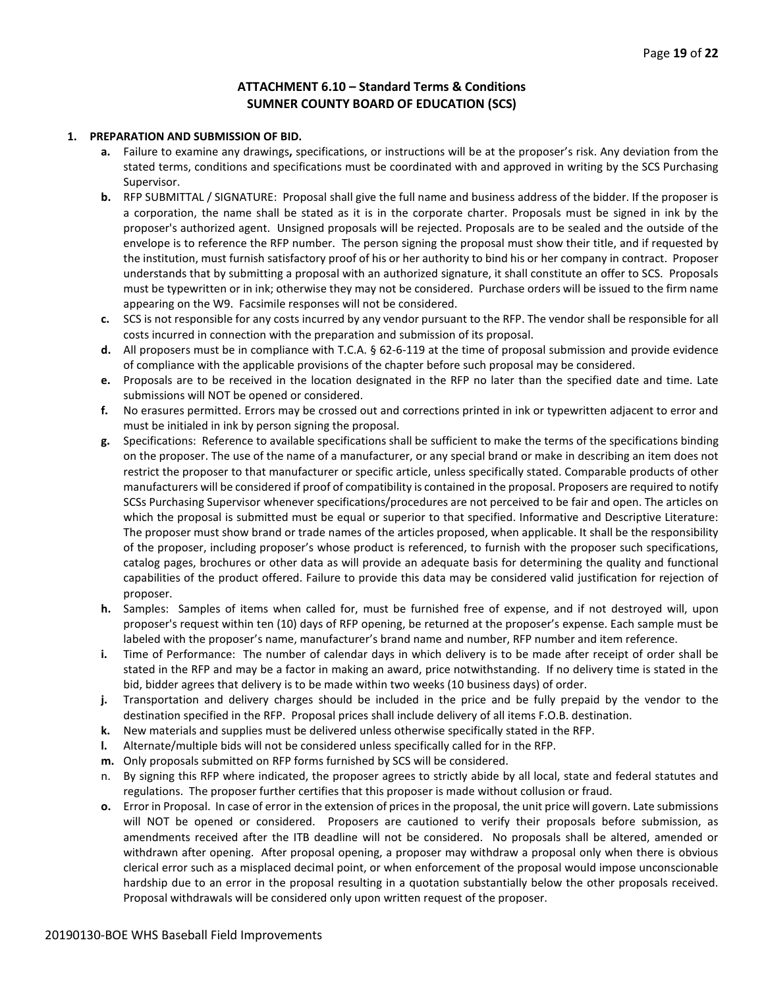#### **ATTACHMENT 6.10 – Standard Terms & Conditions SUMNER COUNTY BOARD OF EDUCATION (SCS)**

#### **1. PREPARATION AND SUBMISSION OF BID.**

- **a.** Failure to examine any drawings**,** specifications, or instructions will be at the proposer's risk. Any deviation from the stated terms, conditions and specifications must be coordinated with and approved in writing by the SCS Purchasing Supervisor.
- **b.** RFP SUBMITTAL / SIGNATURE: Proposal shall give the full name and business address of the bidder. If the proposer is a corporation, the name shall be stated as it is in the corporate charter. Proposals must be signed in ink by the proposer's authorized agent. Unsigned proposals will be rejected. Proposals are to be sealed and the outside of the envelope is to reference the RFP number. The person signing the proposal must show their title, and if requested by the institution, must furnish satisfactory proof of his or her authority to bind his or her company in contract. Proposer understands that by submitting a proposal with an authorized signature, it shall constitute an offer to SCS. Proposals must be typewritten or in ink; otherwise they may not be considered. Purchase orders will be issued to the firm name appearing on the W9. Facsimile responses will not be considered.
- **c.** SCS is not responsible for any costs incurred by any vendor pursuant to the RFP. The vendor shall be responsible for all costs incurred in connection with the preparation and submission of its proposal.
- **d.** All proposers must be in compliance with T.C.A. § 62-6-119 at the time of proposal submission and provide evidence of compliance with the applicable provisions of the chapter before such proposal may be considered.
- **e.** Proposals are to be received in the location designated in the RFP no later than the specified date and time. Late submissions will NOT be opened or considered.
- **f.** No erasures permitted. Errors may be crossed out and corrections printed in ink or typewritten adjacent to error and must be initialed in ink by person signing the proposal.
- **g.** Specifications: Reference to available specifications shall be sufficient to make the terms of the specifications binding on the proposer. The use of the name of a manufacturer, or any special brand or make in describing an item does not restrict the proposer to that manufacturer or specific article, unless specifically stated. Comparable products of other manufacturers will be considered if proof of compatibility is contained in the proposal. Proposers are required to notify SCSs Purchasing Supervisor whenever specifications/procedures are not perceived to be fair and open. The articles on which the proposal is submitted must be equal or superior to that specified. Informative and Descriptive Literature: The proposer must show brand or trade names of the articles proposed, when applicable. It shall be the responsibility of the proposer, including proposer's whose product is referenced, to furnish with the proposer such specifications, catalog pages, brochures or other data as will provide an adequate basis for determining the quality and functional capabilities of the product offered. Failure to provide this data may be considered valid justification for rejection of proposer.
- **h.** Samples: Samples of items when called for, must be furnished free of expense, and if not destroyed will, upon proposer's request within ten (10) days of RFP opening, be returned at the proposer's expense. Each sample must be labeled with the proposer's name, manufacturer's brand name and number, RFP number and item reference.
- **i.** Time of Performance: The number of calendar days in which delivery is to be made after receipt of order shall be stated in the RFP and may be a factor in making an award, price notwithstanding. If no delivery time is stated in the bid, bidder agrees that delivery is to be made within two weeks (10 business days) of order.
- **j.** Transportation and delivery charges should be included in the price and be fully prepaid by the vendor to the destination specified in the RFP. Proposal prices shall include delivery of all items F.O.B. destination.
- **k.** New materials and supplies must be delivered unless otherwise specifically stated in the RFP.
- **l.** Alternate/multiple bids will not be considered unless specifically called for in the RFP.
- **m.** Only proposals submitted on RFP forms furnished by SCS will be considered.
- n. By signing this RFP where indicated, the proposer agrees to strictly abide by all local, state and federal statutes and regulations. The proposer further certifies that this proposer is made without collusion or fraud.
- **o.** Error in Proposal. In case of error in the extension of prices in the proposal, the unit price will govern. Late submissions will NOT be opened or considered. Proposers are cautioned to verify their proposals before submission, as amendments received after the ITB deadline will not be considered. No proposals shall be altered, amended or withdrawn after opening. After proposal opening, a proposer may withdraw a proposal only when there is obvious clerical error such as a misplaced decimal point, or when enforcement of the proposal would impose unconscionable hardship due to an error in the proposal resulting in a quotation substantially below the other proposals received. Proposal withdrawals will be considered only upon written request of the proposer.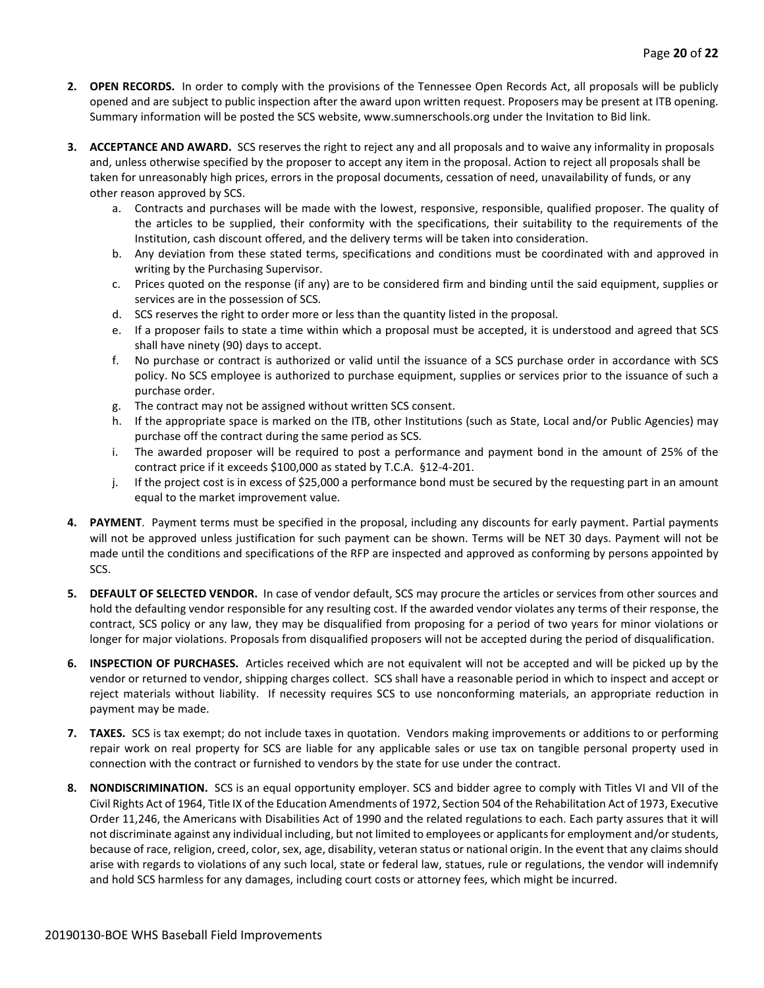- **2. OPEN RECORDS.** In order to comply with the provisions of the Tennessee Open Records Act, all proposals will be publicly opened and are subject to public inspection after the award upon written request. Proposers may be present at ITB opening. Summary information will be posted the SCS website, www.sumnerschools.org under the Invitation to Bid link.
- **3. ACCEPTANCE AND AWARD.** SCS reserves the right to reject any and all proposals and to waive any informality in proposals and, unless otherwise specified by the proposer to accept any item in the proposal. Action to reject all proposals shall be taken for unreasonably high prices, errors in the proposal documents, cessation of need, unavailability of funds, or any other reason approved by SCS.
	- a. Contracts and purchases will be made with the lowest, responsive, responsible, qualified proposer. The quality of the articles to be supplied, their conformity with the specifications, their suitability to the requirements of the Institution, cash discount offered, and the delivery terms will be taken into consideration.
	- b. Any deviation from these stated terms, specifications and conditions must be coordinated with and approved in writing by the Purchasing Supervisor.
	- c. Prices quoted on the response (if any) are to be considered firm and binding until the said equipment, supplies or services are in the possession of SCS.
	- d. SCS reserves the right to order more or less than the quantity listed in the proposal.
	- e. If a proposer fails to state a time within which a proposal must be accepted, it is understood and agreed that SCS shall have ninety (90) days to accept.
	- f. No purchase or contract is authorized or valid until the issuance of a SCS purchase order in accordance with SCS policy. No SCS employee is authorized to purchase equipment, supplies or services prior to the issuance of such a purchase order.
	- g. The contract may not be assigned without written SCS consent.
	- h. If the appropriate space is marked on the ITB, other Institutions (such as State, Local and/or Public Agencies) may purchase off the contract during the same period as SCS.
	- i. The awarded proposer will be required to post a performance and payment bond in the amount of 25% of the contract price if it exceeds \$100,000 as stated by T.C.A. §12-4-201.
	- j. If the project cost is in excess of \$25,000 a performance bond must be secured by the requesting part in an amount equal to the market improvement value.
- **4. PAYMENT**. Payment terms must be specified in the proposal, including any discounts for early payment. Partial payments will not be approved unless justification for such payment can be shown. Terms will be NET 30 days. Payment will not be made until the conditions and specifications of the RFP are inspected and approved as conforming by persons appointed by SCS.
- **5. DEFAULT OF SELECTED VENDOR.** In case of vendor default, SCS may procure the articles or services from other sources and hold the defaulting vendor responsible for any resulting cost. If the awarded vendor violates any terms of their response, the contract, SCS policy or any law, they may be disqualified from proposing for a period of two years for minor violations or longer for major violations. Proposals from disqualified proposers will not be accepted during the period of disqualification.
- **6. INSPECTION OF PURCHASES.** Articles received which are not equivalent will not be accepted and will be picked up by the vendor or returned to vendor, shipping charges collect. SCS shall have a reasonable period in which to inspect and accept or reject materials without liability. If necessity requires SCS to use nonconforming materials, an appropriate reduction in payment may be made.
- **7. TAXES.** SCS is tax exempt; do not include taxes in quotation. Vendors making improvements or additions to or performing repair work on real property for SCS are liable for any applicable sales or use tax on tangible personal property used in connection with the contract or furnished to vendors by the state for use under the contract.
- **8. NONDISCRIMINATION.** SCS is an equal opportunity employer. SCS and bidder agree to comply with Titles VI and VII of the Civil Rights Act of 1964, Title IX of the Education Amendments of 1972, Section 504 of the Rehabilitation Act of 1973, Executive Order 11,246, the Americans with Disabilities Act of 1990 and the related regulations to each. Each party assures that it will not discriminate against any individual including, but not limited to employees or applicants for employment and/or students, because of race, religion, creed, color, sex, age, disability, veteran status or national origin. In the event that any claims should arise with regards to violations of any such local, state or federal law, statues, rule or regulations, the vendor will indemnify and hold SCS harmless for any damages, including court costs or attorney fees, which might be incurred.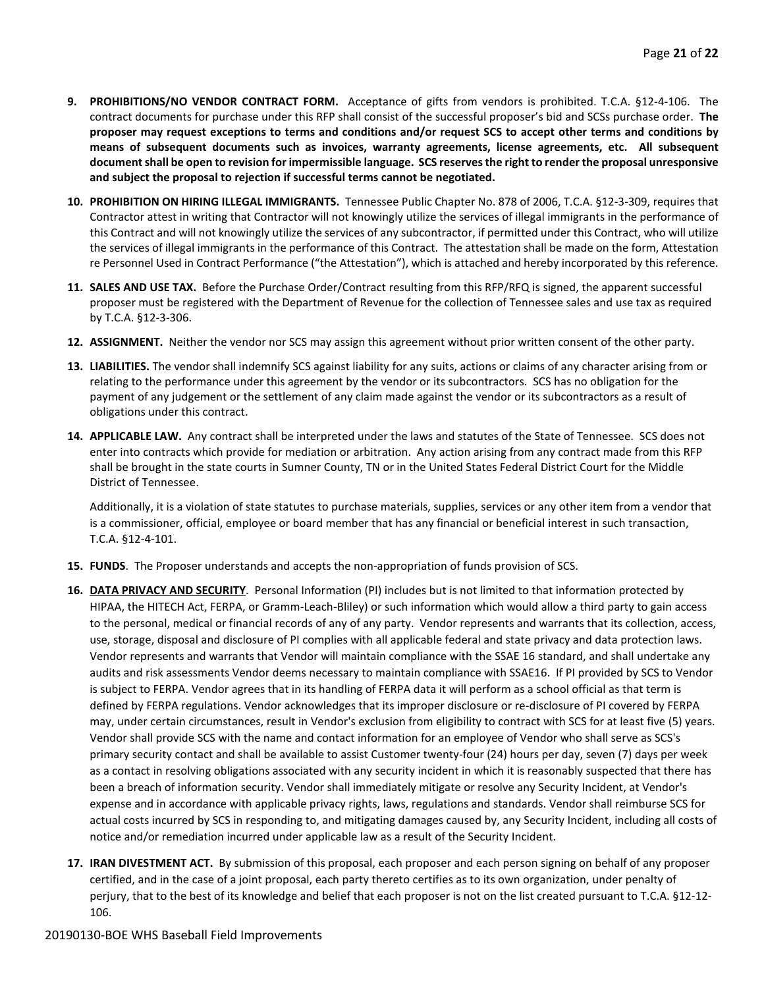- **9. PROHIBITIONS/NO VENDOR CONTRACT FORM.** Acceptance of gifts from vendors is prohibited. T.C.A. §12-4-106. The contract documents for purchase under this RFP shall consist of the successful proposer's bid and SCSs purchase order. **The proposer may request exceptions to terms and conditions and/or request SCS to accept other terms and conditions by means of subsequent documents such as invoices, warranty agreements, license agreements, etc. All subsequent document shall be open to revision for impermissible language. SCS reserves the right to render the proposal unresponsive and subject the proposal to rejection if successful terms cannot be negotiated.**
- **10. PROHIBITION ON HIRING ILLEGAL IMMIGRANTS.** Tennessee Public Chapter No. 878 of 2006, T.C.A. §12-3-309, requires that Contractor attest in writing that Contractor will not knowingly utilize the services of illegal immigrants in the performance of this Contract and will not knowingly utilize the services of any subcontractor, if permitted under this Contract, who will utilize the services of illegal immigrants in the performance of this Contract. The attestation shall be made on the form, Attestation re Personnel Used in Contract Performance ("the Attestation"), which is attached and hereby incorporated by this reference.
- **11. SALES AND USE TAX.** Before the Purchase Order/Contract resulting from this RFP/RFQ is signed, the apparent successful proposer must be registered with the Department of Revenue for the collection of Tennessee sales and use tax as required by T.C.A. §12-3-306.
- **12. ASSIGNMENT.** Neither the vendor nor SCS may assign this agreement without prior written consent of the other party.
- **13. LIABILITIES.** The vendor shall indemnify SCS against liability for any suits, actions or claims of any character arising from or relating to the performance under this agreement by the vendor or its subcontractors. SCS has no obligation for the payment of any judgement or the settlement of any claim made against the vendor or its subcontractors as a result of obligations under this contract.
- **14. APPLICABLE LAW.** Any contract shall be interpreted under the laws and statutes of the State of Tennessee. SCS does not enter into contracts which provide for mediation or arbitration. Any action arising from any contract made from this RFP shall be brought in the state courts in Sumner County, TN or in the United States Federal District Court for the Middle District of Tennessee.

Additionally, it is a violation of state statutes to purchase materials, supplies, services or any other item from a vendor that is a commissioner, official, employee or board member that has any financial or beneficial interest in such transaction, T.C.A. §12-4-101.

- **15. FUNDS**. The Proposer understands and accepts the non-appropriation of funds provision of SCS.
- **16. DATA PRIVACY AND SECURITY**. Personal Information (PI) includes but is not limited to that information protected by HIPAA, the HITECH Act, FERPA, or Gramm-Leach-Bliley) or such information which would allow a third party to gain access to the personal, medical or financial records of any of any party. Vendor represents and warrants that its collection, access, use, storage, disposal and disclosure of PI complies with all applicable federal and state privacy and data protection laws. Vendor represents and warrants that Vendor will maintain compliance with the SSAE 16 standard, and shall undertake any audits and risk assessments Vendor deems necessary to maintain compliance with SSAE16. If PI provided by SCS to Vendor is subject to FERPA. Vendor agrees that in its handling of FERPA data it will perform as a school official as that term is defined by FERPA regulations. Vendor acknowledges that its improper disclosure or re-disclosure of PI covered by FERPA may, under certain circumstances, result in Vendor's exclusion from eligibility to contract with SCS for at least five (5) years. Vendor shall provide SCS with the name and contact information for an employee of Vendor who shall serve as SCS's primary security contact and shall be available to assist Customer twenty-four (24) hours per day, seven (7) days per week as a contact in resolving obligations associated with any security incident in which it is reasonably suspected that there has been a breach of information security. Vendor shall immediately mitigate or resolve any Security Incident, at Vendor's expense and in accordance with applicable privacy rights, laws, regulations and standards. Vendor shall reimburse SCS for actual costs incurred by SCS in responding to, and mitigating damages caused by, any Security Incident, including all costs of notice and/or remediation incurred under applicable law as a result of the Security Incident.
- **17. IRAN DIVESTMENT ACT.** By submission of this proposal, each proposer and each person signing on behalf of any proposer certified, and in the case of a joint proposal, each party thereto certifies as to its own organization, under penalty of perjury, that to the best of its knowledge and belief that each proposer is not on the list created pursuant to T.C.A. §12-12- 106.

#### 20190130-BOE WHS Baseball Field Improvements